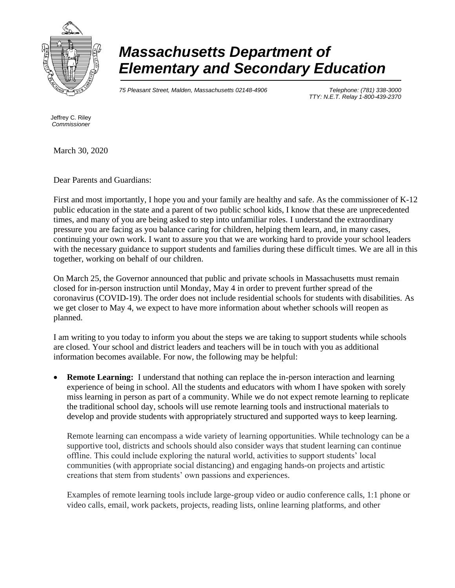

## *Massachusetts Department of Elementary and Secondary Education*

*75 Pleasant Street, Malden, Massachusetts 02148-4906 Telephone: (781) 338-3000* 

*TTY: N.E.T. Relay 1-800-439-2370*

Jeffrey C. Riley *Commissioner*

March 30, 2020

Dear Parents and Guardians:

First and most importantly, I hope you and your family are healthy and safe. As the commissioner of K-12 public education in the state and a parent of two public school kids, I know that these are unprecedented times, and many of you are being asked to step into unfamiliar roles. I understand the extraordinary pressure you are facing as you balance caring for children, helping them learn, and, in many cases, continuing your own work. I want to assure you that we are working hard to provide your school leaders with the necessary guidance to support students and families during these difficult times. We are all in this together, working on behalf of our children.

On March 25, the Governor announced that public and private schools in Massachusetts must remain closed for in-person instruction until Monday, May 4 in order to prevent further spread of the coronavirus (COVID-19). The order does not include residential schools for students with disabilities. As we get closer to May 4, we expect to have more information about whether schools will reopen as planned.

I am writing to you today to inform you about the steps we are taking to support students while schools are closed. Your school and district leaders and teachers will be in touch with you as additional information becomes available. For now, the following may be helpful:

**Remote Learning:** I understand that nothing can replace the in-person interaction and learning experience of being in school. All the students and educators with whom I have spoken with sorely miss learning in person as part of a community. While we do not expect remote learning to replicate the traditional school day, schools will use remote learning tools and instructional materials to develop and provide students with appropriately structured and supported ways to keep learning.

Remote learning can encompass a wide variety of learning opportunities. While technology can be a supportive tool, districts and schools should also consider ways that student learning can continue offline. This could include exploring the natural world, activities to support students' local communities (with appropriate social distancing) and engaging hands-on projects and artistic creations that stem from students' own passions and experiences.

Examples of remote learning tools include large-group video or audio conference calls, 1:1 phone or video calls, email, work packets, projects, reading lists, online learning platforms, and other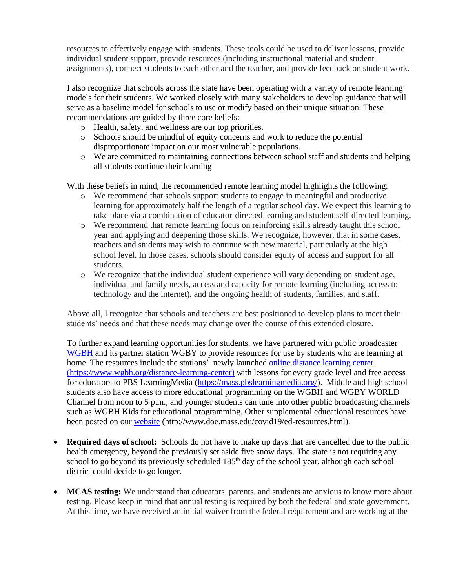resources to effectively engage with students. These tools could be used to deliver lessons, provide individual student support, provide resources (including instructional material and student assignments), connect students to each other and the teacher, and provide feedback on student work.

I also recognize that schools across the state have been operating with a variety of remote learning models for their students. We worked closely with many stakeholders to develop guidance that will serve as a baseline model for schools to use or modify based on their unique situation. These recommendations are guided by three core beliefs:

- o Health, safety, and wellness are our top priorities.
- o Schools should be mindful of equity concerns and work to reduce the potential disproportionate impact on our most vulnerable populations.
- o We are committed to maintaining connections between school staff and students and helping all students continue their learning

With these beliefs in mind, the recommended remote learning model highlights the following:

- o We recommend that schools support students to engage in meaningful and productive learning for approximately half the length of a regular school day. We expect this learning to take place via a combination of educator-directed learning and student self-directed learning.
- o We recommend that remote learning focus on reinforcing skills already taught this school year and applying and deepening those skills. We recognize, however, that in some cases, teachers and students may wish to continue with new material, particularly at the high school level. In those cases, schools should consider equity of access and support for all students.
- o We recognize that the individual student experience will vary depending on student age, individual and family needs, access and capacity for remote learning (including access to technology and the internet), and the ongoing health of students, families, and staff.

Above all, I recognize that schools and teachers are best positioned to develop plans to meet their students' needs and that these needs may change over the course of this extended closure.

To further expand learning opportunities for students, we have partnered with public broadcaster [WGBH](https://www.wgbh.org/foundation/press/wgbh-partners-with-massachusetts-department-of-elementary-and-secondary-education-to-provide-tv-and-digital-distance-learning-options-for-students-and-educators-during-school-closures) and its partner station WGBY to provide resources for use by students who are learning at home. The resources include the stations' newly launched [online distance learning center](https://www.wgbh.org/distance-learning-center) (https://www.wgbh.org/distance-learning-center) with lessons for every grade level and free access for educators to PBS LearningMedia [\(https://mass.pbslearningmedia.org/\)](https://mass.pbslearningmedia.org/). Middle and high school students also have access to more educational programming on the WGBH and WGBY WORLD Channel from noon to 5 p.m., and younger students can tune into other public broadcasting channels such as WGBH Kids for educational programming. Other supplemental educational resources have been posted on our [website](http://www.doe.mass.edu/covid19/ed-resources.html) (http://www.doe.mass.edu/covid19/ed-resources.html).

- **Required days of school:** Schools do not have to make up days that are cancelled due to the public health emergency, beyond the previously set aside five snow days. The state is not requiring any school to go beyond its previously scheduled 185<sup>th</sup> day of the school year, although each school district could decide to go longer.
- **MCAS testing:** We understand that educators, parents, and students are anxious to know more about testing. Please keep in mind that annual testing is required by both the federal and state government. At this time, we have received an initial waiver from the federal requirement and are working at the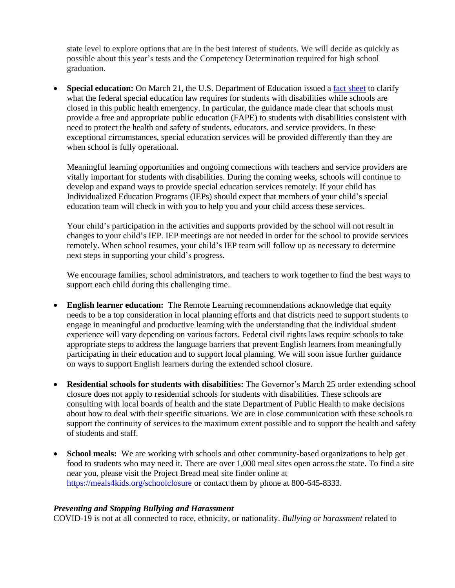state level to explore options that are in the best interest of students. We will decide as quickly as possible about this year's tests and the Competency Determination required for high school graduation.

• **Special education:** On March 21, the U.S. Department of Education issued a fact [sheet](https://www2.ed.gov/about/offices/list/ocr/frontpage/faq/rr/policyguidance/Supple%20Fact%20Sheet%203.21.20%20FINAL.pdf) to clarify what the federal special education law requires for students with disabilities while schools are closed in this public health emergency. In particular, the guidance made clear that schools must provide a free and appropriate public education (FAPE) to students with disabilities consistent with need to protect the health and safety of students, educators, and service providers. In these exceptional circumstances, special education services will be provided differently than they are when school is fully operational.

Meaningful learning opportunities and ongoing connections with teachers and service providers are vitally important for students with disabilities. During the coming weeks, schools will continue to develop and expand ways to provide special education services remotely. If your child has Individualized Education Programs (IEPs) should expect that members of your child's special education team will check in with you to help you and your child access these services.

Your child's participation in the activities and supports provided by the school will not result in changes to your child's IEP. IEP meetings are not needed in order for the school to provide services remotely. When school resumes, your child's IEP team will follow up as necessary to determine next steps in supporting your child's progress.

We encourage families, school administrators, and teachers to work together to find the best ways to support each child during this challenging time.

- **English learner education:** The Remote Learning recommendations acknowledge that equity needs to be a top consideration in local planning efforts and that districts need to support students to engage in meaningful and productive learning with the understanding that the individual student experience will vary depending on various factors. Federal civil rights laws require schools to take appropriate steps to address the language barriers that prevent English learners from meaningfully participating in their education and to support local planning. We will soon issue further guidance on ways to support English learners during the extended school closure.
- **Residential schools for students with disabilities:** The Governor's March 25 order extending school closure does not apply to residential schools for students with disabilities. These schools are consulting with local boards of health and the state Department of Public Health to make decisions about how to deal with their specific situations. We are in close communication with these schools to support the continuity of services to the maximum extent possible and to support the health and safety of students and staff.
- **School meals:** We are working with schools and other community-based organizations to help get food to students who may need it. There are over 1,000 meal sites open across the state. To find a site near you, please visit the Project Bread meal site finder online at <https://meals4kids.org/schoolclosure> or contact them by phone at 800-645-8333.

## *Preventing and Stopping Bullying and Harassment*

COVID-19 is not at all connected to race, ethnicity, or nationality. *Bullying or harassment* related to